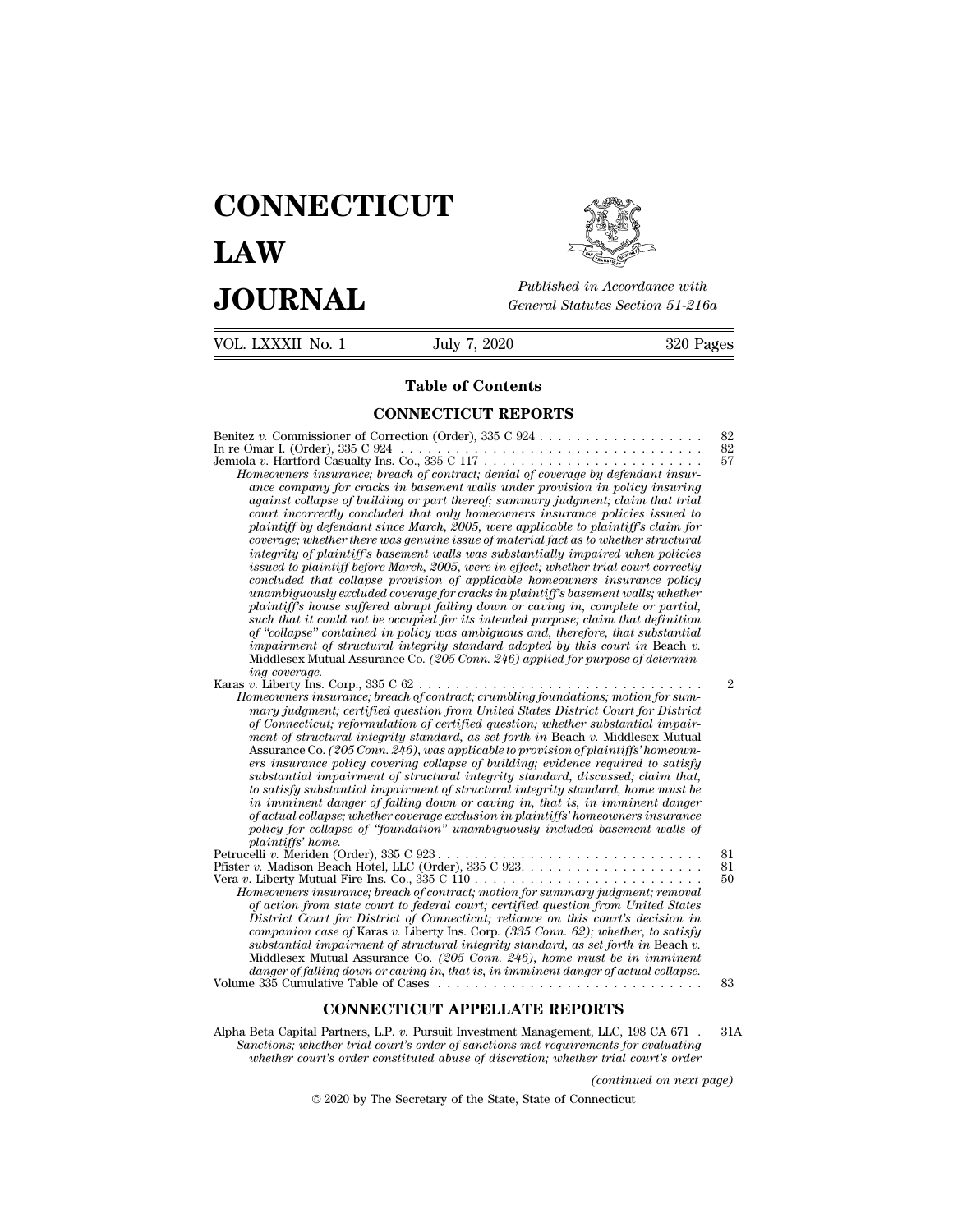## **CONNECTICUT LAW PUBLICE CONNECTICUT**<br> **Published in Accordance with**<br> **JOURNAL** *General Statutes Section 51-216a*<br> **Published in Accordance with**  $\begin{array}{cc}\n\textbf{LAW} & \overbrace{\text{Fubble} \text{m} \text{m}}\n\end{array}$ <br>  $\begin{array}{cc}\n\textbf{JOL RNAL} & \textbf{Pubits in According to 51-216a} \\
\hline\n\textbf{VOL LIXXXII No. 1} & \textbf{July 7, 2020} & \textbf{320 Pages}\n\end{array}$



# Published in A.<br>
General Statutes<br> **Table of Contents<br>
INECTICUT REPORTS**

| JUUKNAL                                                                                                       |                                                                                                                                                                                                                                                                                                                                                                                                                                                                                                                                                                                                                                                                                                                                                                                                                                                                                                                                                                                                                                                                                                                                                                                                                                                                                                                                                                                                      | General Statutes Section 51-216a |  |  |
|---------------------------------------------------------------------------------------------------------------|------------------------------------------------------------------------------------------------------------------------------------------------------------------------------------------------------------------------------------------------------------------------------------------------------------------------------------------------------------------------------------------------------------------------------------------------------------------------------------------------------------------------------------------------------------------------------------------------------------------------------------------------------------------------------------------------------------------------------------------------------------------------------------------------------------------------------------------------------------------------------------------------------------------------------------------------------------------------------------------------------------------------------------------------------------------------------------------------------------------------------------------------------------------------------------------------------------------------------------------------------------------------------------------------------------------------------------------------------------------------------------------------------|----------------------------------|--|--|
| VOL. LXXXII No. 1                                                                                             | July 7, 2020                                                                                                                                                                                                                                                                                                                                                                                                                                                                                                                                                                                                                                                                                                                                                                                                                                                                                                                                                                                                                                                                                                                                                                                                                                                                                                                                                                                         | 320 Pages                        |  |  |
|                                                                                                               | <b>Table of Contents</b>                                                                                                                                                                                                                                                                                                                                                                                                                                                                                                                                                                                                                                                                                                                                                                                                                                                                                                                                                                                                                                                                                                                                                                                                                                                                                                                                                                             |                                  |  |  |
|                                                                                                               | <b>CONNECTICUT REPORTS</b>                                                                                                                                                                                                                                                                                                                                                                                                                                                                                                                                                                                                                                                                                                                                                                                                                                                                                                                                                                                                                                                                                                                                                                                                                                                                                                                                                                           |                                  |  |  |
| Benitez v. Commissioner of Correction (Order), 335 C 924<br>In re Omar I. (Order), 335 C 924<br>ing coverage. | $\mathcal{L}^{\mathcal{A}}$ , $\mathcal{L}^{\mathcal{A}}$ , $\mathcal{L}^{\mathcal{A}}$<br>Homeowners insurance; breach of contract; denial of coverage by defendant insur-<br>ance company for cracks in basement walls under provision in policy insuring<br>against collapse of building or part thereof; summary judgment; claim that trial<br>court incorrectly concluded that only homeowners insurance policies issued to<br>plaintiff by defendant since March, 2005, were applicable to plaintiff's claim for<br>coverage; whether there was genuine issue of material fact as to whether structural<br>integrity of plaintiff's basement walls was substantially impaired when policies<br>issued to plaintiff before March, 2005, were in effect; whether trial court correctly<br>concluded that collapse provision of applicable homeowners insurance policy<br>unambiquously excluded coverage for cracks in plaintiff's basement walls; whether<br>plaintiff's house suffered abrupt falling down or caving in, complete or partial,<br>such that it could not be occupied for its intended purpose; claim that definition<br>of "collapse" contained in policy was ambiguous and, therefore, that substantial<br>impairment of structural integrity standard adopted by this court in Beach $v$ .<br>Middlesex Mutual Assurance Co. (205 Conn. 246) applied for purpose of determin- | 82<br>82<br>57                   |  |  |
| Karas v. Liberty Ins. Corp., $335 \text{ C } 62 \ldots \ldots \ldots \ldots$<br>plaintiffs' home.             | Homeowners insurance; breach of contract; crumbling foundations; motion for sum-<br>mary judgment; certified question from United States District Court for District<br>of Connecticut; reformulation of certified question; whether substantial impair-<br>ment of structural integrity standard, as set forth in Beach v. Middlesex Mutual<br>Assurance Co. (205 Conn. 246), was applicable to provision of plaintiffs' homeown-<br>ers insurance policy covering collapse of building; evidence required to satisfy<br>substantial impairment of structural integrity standard, discussed; claim that,<br>to satisfy substantial impairment of structural integrity standard, home must be<br>in imminent danger of falling down or caving in, that is, in imminent danger<br>of actual collapse; whether coverage exclusion in plaintiffs' homeowners insurance<br>policy for collapse of "foundation" unambiguously included basement walls of                                                                                                                                                                                                                                                                                                                                                                                                                                                  | $\overline{2}$                   |  |  |
| Petrucelli v. Meriden (Order), 335 C 923                                                                      | Homeowners insurance; breach of contract; motion for summary judgment; removal<br>of action from state court to federal court; certified question from United States<br>District Court for District of Connecticut; reliance on this court's decision in<br>companion case of Karas v. Liberty Ins. Corp. $(335 \text{ Conn. } 62)$ ; whether, to satisfy<br>substantial impairment of structural integrity standard, as set forth in Beach v.<br>Middlesex Mutual Assurance Co. (205 Conn. 246), home must be in imminent<br>danger of falling down or caving in, that is, in imminent danger of actual collapse.                                                                                                                                                                                                                                                                                                                                                                                                                                                                                                                                                                                                                                                                                                                                                                                   | 81<br>81<br>50<br>83             |  |  |
|                                                                                                               | <b>CONNECTICUT APPELLATE REPORTS</b>                                                                                                                                                                                                                                                                                                                                                                                                                                                                                                                                                                                                                                                                                                                                                                                                                                                                                                                                                                                                                                                                                                                                                                                                                                                                                                                                                                 |                                  |  |  |
| Alpha Beta Capital Partners, L.P. v. Pursuit Investment Management, LLC, 198 CA 671.                          | Sanctions; whether trial court's order of sanctions met requirements for evaluating<br>whether court's order constituted abuse of discretion; whether trial court's order                                                                                                                                                                                                                                                                                                                                                                                                                                                                                                                                                                                                                                                                                                                                                                                                                                                                                                                                                                                                                                                                                                                                                                                                                            | 31A                              |  |  |

*where constituted abuse of discretion; whether court's order constituted abuse of discretion; whether trial court's order of sanctions, whether trial court's order of sanctions met requirements for evaluating whether cour* **(RTS**<br> *(Continued on next page)*<br> *continued on next page)*<br> *(continued on next page)*<br> *necticut* **CONNECTICUT APPELLATE REPORTS**<br>
a Partners, L.P. v. Pursuit Investment Management, LLC, 19<br>
interaction is order of sanctions met requirements for<br>
and the State of Connecticut<br>  $\odot$  2020 by The Secretary of the State, S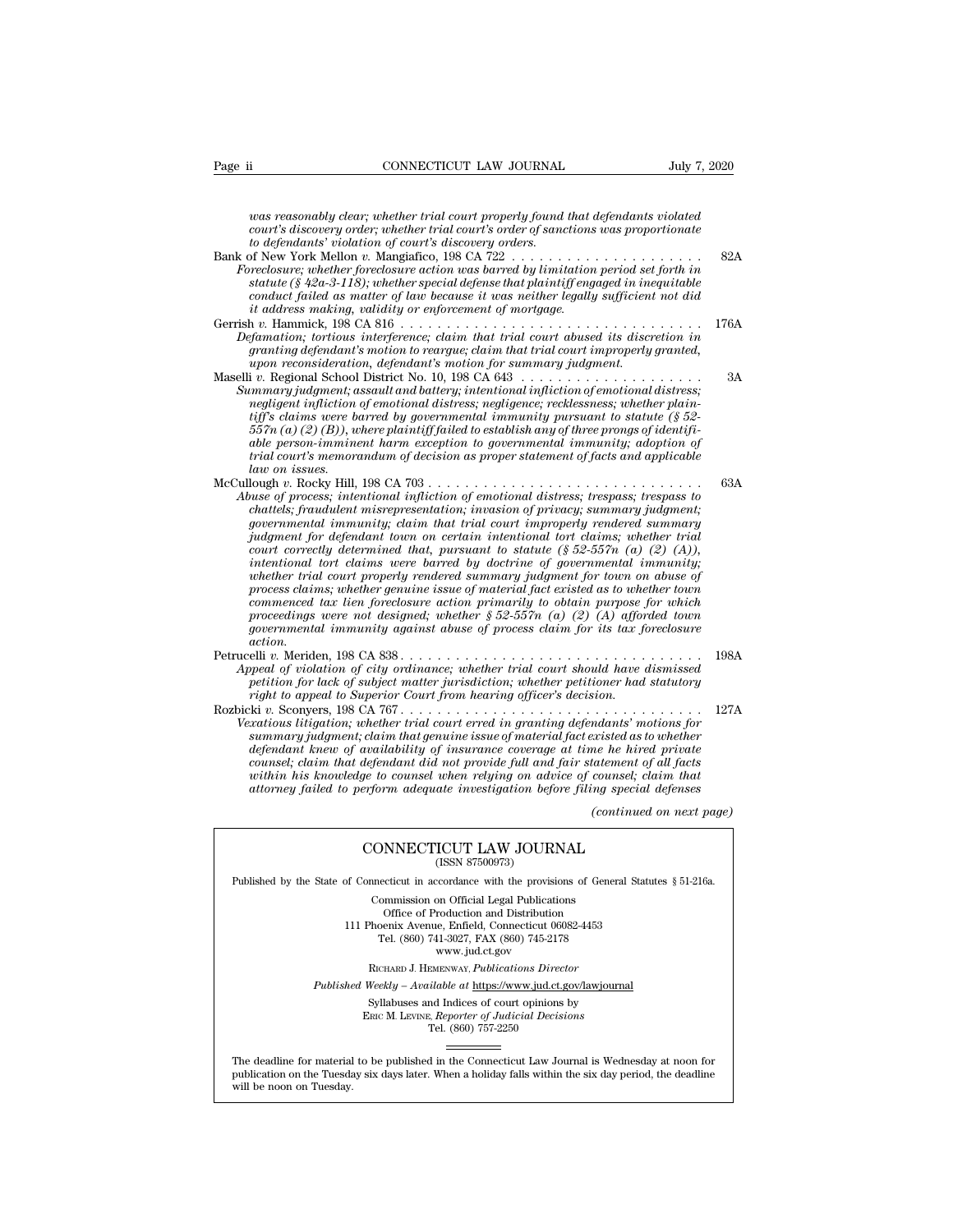*was reasonably clear; whether trial court properly found that defendants violated*<br>*was reasonably clear; whether trial court properly found that defendants violated*<br>*court's discovery order; whether trial court's order connecticut LAW JOURNAL*<br>*luly 7, 2020*<br>*court's discovery order; whether trial court properly found that defendants violated<br>court's discovery order; whether trial court's order of sanctions was proportionate*<br>to defenda *to defendants'* connectricut the defendants' violation of court's discovery order; whether trial court's order of sance to defendants' violation of court's discovery orders.<br>*to defendants' violation of court's discovery* Page ii CONNECTICUT LAW JOURNAL July 7, 2020<br>
was reasonably clear; whether trial court properly found that defendants violated<br>
court's discovery order; whether trial court's order of sanctions was proportionate<br>
to defen *Foreclosure; whether trial court properly found that defendants violated*<br> *Foreclosure; whether trial court's order of sanctions was proportionate*<br> *Foreclosure; whether foreclosure action was barred by limitation perio statute (§ 42a-3-118); whether trial court properly found that defendants violated*<br> *statute (§ 42a-3-118); whether trial court's order of sanctions was proportionate*<br> *to defendants' violation of court's discovery orde conductive fails are as matter trial court properly found that defendants violated*<br> *court's discovery order; whether trial court's order of sanctions was proportionate*<br> *to defendants' violation of court's discovery or it address making cear, whether trial court property jound that court's discovery order; whether trial court's order of sanctions* for defendants' violation of court's discovery orders for the New York Mellon v. Mangiafic For the distribution of court's discovery order, the discovery order is discovery orders.<br>
Bank of New York Mellon v. Mangiatico, 198 CA 722<br>
Foreclosure; whether foreclosure action was barred by limitation period set fort *Defamation; tortious interference; claim that trial court abused its discretion in granting to reargue; claim to reargue; claim to recelosure action to as barred statute (§ 42a-3-118); whether special defense that plaintiff engaged in inequitable conduct failed as matter of law because it was neither le Foreclosure; whether foreclosure action was barred by limitation period set forth in*<br>statute (§ 42a-3-118); whether special defense that plaintiff engaged in inequitable<br>conduct failed as matter of law because it was nei Sature (s 42d-3-18); whener spectra agense that pairity engaged in inequitable<br>conduct failed as matter of law because it was neither legally sufficient not did<br>it address making, validity or enforcement of mortgage.<br>Gerri *Summary judgment; assault and battery; intentional infliction of emotional distress; negligent infliction of emotional distress; negligence; recklessness; whether plaintimation; tortious interference; claim that trial court abused its discretion in*<br>*granting defendant's motion to reargue; claim that trial court improperly granted,*<br>*upon reconsideration, defendant's motion for summary 557n (a) (B)* (*A)* (*B)* (*B)* (*A)* (*B)* (*A)* (*A)* (*A)* (*A)* (*A)* (*A)* (*A)* (*A)* (*A)* (*A)* (*A)* (*A)* (*A)* (*A)* (*A)* (*A)* (*A)* (*A)* (*A)* (*A)* (*A)* (*A)* (*A)* (*A)* (*A)* (*A)* (*A)* (*A)* (*A)* (*A granting aegenaants motion to reargue; ciarm inat trial court improperty grantea,*<br>upon-reconsideration, defendant's motion for summary judgment.<br>i.v. Regional School District No. 10, 198 CA 643........................... *trial courting that the memoral courter and the memory interaction of emotional districts* and  $i$ .  $\ldots$   $\ldots$   $\ldots$   $\ldots$   $\ldots$   $\ldots$   $\ldots$   $\ldots$   $\ldots$   $\ldots$   $\ldots$   $\ldots$   $\ldots$   $\ldots$   $\ldots$   $\ldots$   $\ldots$   $\ldots$   $\ldots$   $\ldots$  *negligent infliction of emotional distress; negligence; recklessness; whether plain-<br>tiff's claims were barred by governmental immunity pursuant to statute (§ 52-<br>557n (a) (2) (B)), where plaintiff failed to establish an* Summary juagment; assault and battery; intentional infliction of emotional astress;<br>megligent infliction of emotional distress; negligence; recklessness; whether plain-<br>tiff's claims were barred by governmental immunity pu *Abuse of process; intentional infliction of emotional distress; trespass; trespass to chart misres were barred by governmental immunity pursuant to statute (§ 52-557n (a) (2) (B)), where plaintiff failed to establish any of three prongs of identifi-<br>able person-imminent harm exception to governmental immun governmental immunity; claim that trial coestablish any of three prongs of identify-<br>able person-imminent harm exception to governmental immunity; adoption of<br>trial court's memorandum of decision as proper statement of fa judgment for semanatum for defendant to governmental immunity; adoption of trail court's memorandum of decision as proper statement of facts and applicable law on issues.*<br> *Judgment v. Rocky Hill, 198 CA 703* . . . . . . *court correctly determined that, pursuant to statute (§ 52-557n (a) (2) (A)), intentional tort claims were barred by doctrine of governmental immunity; whether trial court minimal infliction of emotional distress; trespass; the of process; intentional infliction of emotional distress; trespass; to expansion of privacy; summary judgment; chattels; fraudulent misrepresenta process; intentional infliction of emotional distress; trespass; trespass to*<br>chattels; fraudulent misrepresentation; invasion of privacy; summary judgment;<br>governmental immunity; claim that trial court improperly rendere *chattels; fraudulent misrepresentation; invasion of privacy; summary judgment;*<br>governmental immunity; claim that trial court improperly rendered summary<br>court correctly determined that, pursuant to statute (§ 52-557n (a) *povernmental mmunity;* claim that trial court improperty rendered summary judgment for defendant town on certain intentional tort claims; whether trial court correctly determined that, pursuant to statute (§ 52-557n (a) ( *government for defendant town on certain intentional tort claims; whether trial court correctly determined that, pursuant to statute (§ 52-557n (a) (2) (A)), intentional tort claims were barred by doctrine of governmental action.* mentional fort claims were barrea by doctrine of governmental immunity;<br>whether trial court properly rendered summary judgment for town on abuse of<br>process claims; whether genuine issue of material fact existed as to wheth *Appear of a court property renaered summary juagment jor town on douse of macrical as to whether town*<br> *Commenced tax lien foreclosure action primarily to obtain purpose for which*<br> *proceedings were not designed; whethe process claims; whether genuine issue of material jact existed as to whether town*<br>*proceedings were in designed; whether § 52-557n (a) (2) (A) afforded town<br>proceedings were not designed; whether § 52-557n (a) (2) (A) af remement to ax then preclosure action primarily to obtain purpose proceedings were not designed; whether § 52-557n (a) (2) (A) affor approvemental immunity against abuse of process claim for its tax from action.*<br> *action* Rozbicki *v.* Sconyers, 198 CA 767 . . . . . . . . . . . . . . . . . . . . . . . . . . . . . . . . . 127A *Governmental immunity against abuse of process claim for its tax foreclosure*<br> *Appeal of violation of city ordinance; whether trial court should have dismissed*<br> *Petrucelli v. Meriden, 198 CA 838.*<br> *Appeal of violation summary judgment; claim that genuine issue of material fact existed as to pread of violation of city ordinance; whether trial court should have dismissed petition for lack of subject matter jurisdiction; whether petitione definited the fittimal court street in the time of city ordinance; whether trial court should have dismissed*<br>petition for lack of subject matter jurisdiction; whether petitioner had statutory<br>right to appeal to Superior *counseliant of violation of city orainance; whether trial court should have aismissed*<br>petition for lack of subject matter jurisdiction; whether petitioner had statutory<br>right to appeal to Superior Court from hearing offi *within his knowledge to counsel when relying on advice of counsel; claim that attorney failed to perform adequate investigation before filing special defenses rations for*<br>*(continued as to whether*<br>*(continued private<br><i>counsel; claim that*<br>*counsel; claim that*<br>*(continued on next page)*<br>*(continued on next page)*  $\alpha$  claim that genuine issue of material fact existed as to u<br>trailability of insurance coverage at time he hired  $\gamma$ <br>defendant did not provide full and fair statement of a<br>ge to counsel when relying on advice of counse within his knowledge to counsel when relying on advice of counsel; claim that<br>attorney failed to perform adequate investigation before filing special defenses<br>(continued on next<br>CONNECTICUT LAW JOURNAL<br>(ISSN 87500973)  $\begin{tabular}{l|l|l} \hline & (continued on next page) \\ \hline (CONNECTICUT LAW JOURNAL \\ (ISSN 87500973) \\ \hline \end{tabular}$  \hline \begin{tabular}{l|l|l|} \hline \multicolumn{3}{c}{\text{Published by the State of Connecticut in accordance with the provisions of General Statistics § 51-216a.} \\ \hline \multicolumn{3}{c}{\text{Commission on Official Legal Publications}} \\ \hline \end{tabular}

CONNECTICUT LAW JOURNAL<br>
(ISSN 87500973)<br>
inecticut in accordance with the provisions of Gener<br>
Commission on Official Legal Publications<br>
Office of Production and Distribution<br>
office of Production and Distribution **NNECTICUT LAW JOURNAL**<br>
(ISSN 87500973)<br>
cticut in accordance with the provisions of Gener<br>
mmission on Official Legal Publications<br>
Office of Production and Distribution<br>
centra Avenue, Enfield, Connecticut 06082-4453<br>
b CONNECTICUT LAW JOURNAL<br>
(ISSN 87500973)<br>
of Connecticut in accordance with the provisions of General Statu<br>
Commission on Official Legal Publications<br>
Office of Production and Distribution<br>
111 Phoenix Avenue, Enfield, Co (ISSN 87500973)<br>ecticut in accordance with the provisions of Gener<br>ommission on Official Legal Publications<br>Office of Production and Distribution<br>oenix Avenue, Enfield, Connecticut 06082-4453<br>Tel. (860) 741-3027, FAX (860 reordance with the provision<br>on Official Legal Publication<br>roduction and Distribution<br>e, Enfield, Connecticut 06<br>11-3027, FAX (860) 745-21'<br>www.jud.ct.gov<br>zENWAY, *Publications Dire* Rommission on Official Legal Publications<br>
Office of Production and Distribution<br>
Phoenix Avenue, Enfield, Connecticut 06082-4453<br>
Tel. (860) 741-3027, FAX (860) 745-2178<br>
www.jud.ct.gov<br>
RICHARD J. HEMENWAY, *Publications* Office of Production and Distribution<br>
111 Phoenix Avenue, Enfield, Connecticut 06082-4453<br>
Tel. (860) 741-3027, FAX (860) 745-2178<br>
www.jud.ct.gov<br>
RICHARD J. HEMENWAY, *Publications Director*<br> *Published Weekly – Availab* Phoenix Avenue, Enfield, Connecticut 06082-4453<br>
Tel. (860) 741-3027, FAX (860) 745-2178<br>
www.jud.ct.gov<br>
RICHARD J. HEMENWAY, *Publications Director*<br>
Weekly – Available at <u>https://www.jud.ct.gov/lawjourna</u><br>
Syllabuses a

 $\begin{array}{c} \text{www. jud.ct.gov} \\ \text{RICHARD J. HEMENTway, *Publications Director} \\ \text{Weekly -- Available at \underline{https://www.jud.ct.gov/}{\text{Syllabuses and Indices of court opinions by} \\ \text{Enc}\text{ M. LexING. } \text{Reporter of \text{Judicial Decisions} \\ \text{Tel. } (860) 757-2250 \end{array}*$ 

Published Weekly – Available at https://www.jud.ct.gov/lawjournal<br>Syllabuses and Indices of court opinions by<br>ERIC M. LEVINE, Reporter of Judicial Decisions<br>The deadline for material to be published in the Connecticut Law  $\begin{tabular}{l} \bf Syllabuses\ and\ Indices\ of\ court\ opinions\ by\\ \bf Enc\ M.\ LevINE,\ \textit{Reporter of\ Judicial\ Decisions}\\ \bf Tel.\ (860)\ 757-2250\\ \end{tabular}$  <br> The deadline for material to be published in the Connecticut Law Journal is Wednesday at noon for publication on the Tuesday six days later The deadline for material<br>publication on the Tuesday.<br>will be noon on Tuesday.